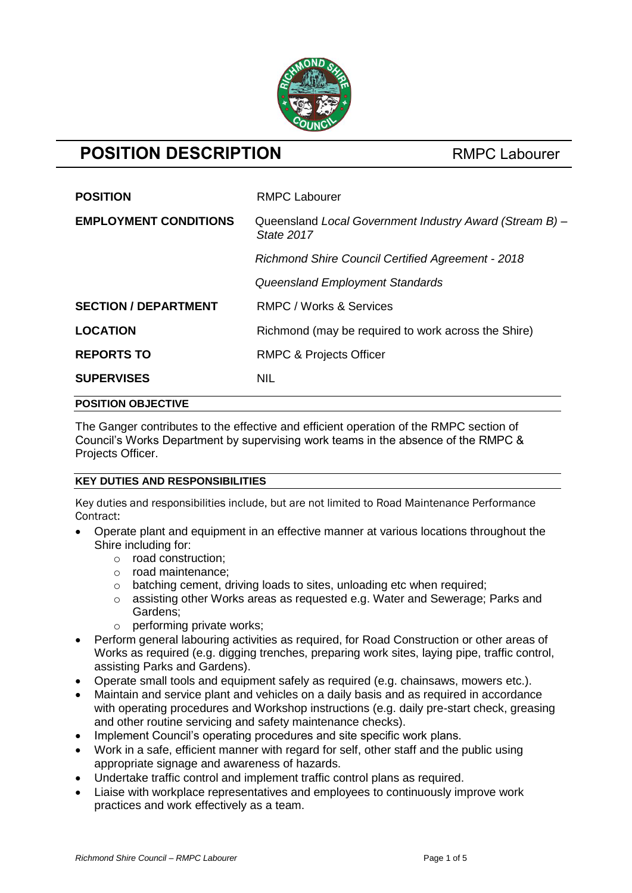

# **POSITION DESCRIPTION** RMPC Labourer

| <b>POSITION</b>              | <b>RMPC Labourer</b>                                                  |
|------------------------------|-----------------------------------------------------------------------|
| <b>EMPLOYMENT CONDITIONS</b> | Queensland Local Government Industry Award (Stream B) -<br>State 2017 |
|                              | <b>Richmond Shire Council Certified Agreement - 2018</b>              |
|                              | Queensland Employment Standards                                       |
| <b>SECTION / DEPARTMENT</b>  | RMPC / Works & Services                                               |
| <b>LOCATION</b>              | Richmond (may be required to work across the Shire)                   |
| <b>REPORTS TO</b>            | <b>RMPC &amp; Projects Officer</b>                                    |
| <b>SUPERVISES</b>            | <b>NIL</b>                                                            |
| <b>POSITION OBJECTIVE</b>    |                                                                       |

The Ganger contributes to the effective and efficient operation of the RMPC section of Council's Works Department by supervising work teams in the absence of the RMPC & Projects Officer.

# **KEY DUTIES AND RESPONSIBILITIES**

Key duties and responsibilities include, but are not limited to Road Maintenance Performance Contract:

- Operate plant and equipment in an effective manner at various locations throughout the Shire including for:
	- o road construction;
	- o road maintenance;
	- o batching cement, driving loads to sites, unloading etc when required;
	- o assisting other Works areas as requested e.g. Water and Sewerage; Parks and Gardens;
	- $\circ$  performing private works:
- Perform general labouring activities as required, for Road Construction or other areas of Works as required (e.g. digging trenches, preparing work sites, laying pipe, traffic control, assisting Parks and Gardens).
- Operate small tools and equipment safely as required (e.g. chainsaws, mowers etc.).
- Maintain and service plant and vehicles on a daily basis and as required in accordance with operating procedures and Workshop instructions (e.g. daily pre-start check, greasing and other routine servicing and safety maintenance checks).
- Implement Council's operating procedures and site specific work plans.
- Work in a safe, efficient manner with regard for self, other staff and the public using appropriate signage and awareness of hazards.
- Undertake traffic control and implement traffic control plans as required.
- Liaise with workplace representatives and employees to continuously improve work practices and work effectively as a team.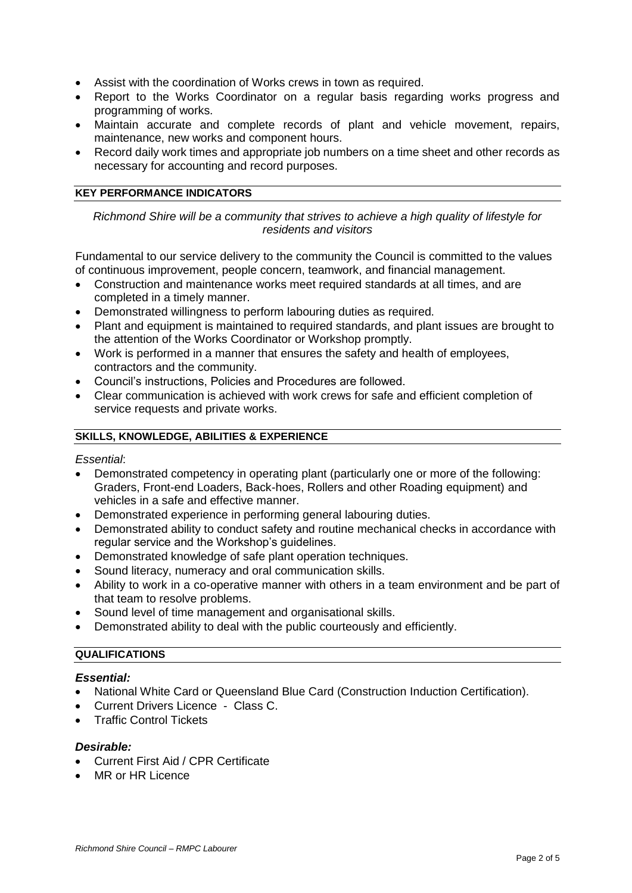- Assist with the coordination of Works crews in town as required.
- Report to the Works Coordinator on a regular basis regarding works progress and programming of works.
- Maintain accurate and complete records of plant and vehicle movement, repairs, maintenance, new works and component hours.
- Record daily work times and appropriate job numbers on a time sheet and other records as necessary for accounting and record purposes.

#### **KEY PERFORMANCE INDICATORS**

*Richmond Shire will be a community that strives to achieve a high quality of lifestyle for residents and visitors*

Fundamental to our service delivery to the community the Council is committed to the values of continuous improvement, people concern, teamwork, and financial management.

- Construction and maintenance works meet required standards at all times, and are completed in a timely manner.
- Demonstrated willingness to perform labouring duties as required.
- Plant and equipment is maintained to required standards, and plant issues are brought to the attention of the Works Coordinator or Workshop promptly.
- Work is performed in a manner that ensures the safety and health of employees, contractors and the community.
- Council's instructions, Policies and Procedures are followed.
- Clear communication is achieved with work crews for safe and efficient completion of service requests and private works.

#### **SKILLS, KNOWLEDGE, ABILITIES & EXPERIENCE**

#### *Essential*:

- Demonstrated competency in operating plant (particularly one or more of the following: Graders, Front-end Loaders, Back-hoes, Rollers and other Roading equipment) and vehicles in a safe and effective manner.
- Demonstrated experience in performing general labouring duties.
- Demonstrated ability to conduct safety and routine mechanical checks in accordance with regular service and the Workshop's guidelines.
- Demonstrated knowledge of safe plant operation techniques.
- Sound literacy, numeracy and oral communication skills.
- Ability to work in a co-operative manner with others in a team environment and be part of that team to resolve problems.
- Sound level of time management and organisational skills.
- Demonstrated ability to deal with the public courteously and efficiently.

# **QUALIFICATIONS**

#### *Essential:*

- National White Card or Queensland Blue Card (Construction Induction Certification).
- Current Drivers Licence Class C.
- Traffic Control Tickets

#### *Desirable:*

- Current First Aid / CPR Certificate
- MR or HR Licence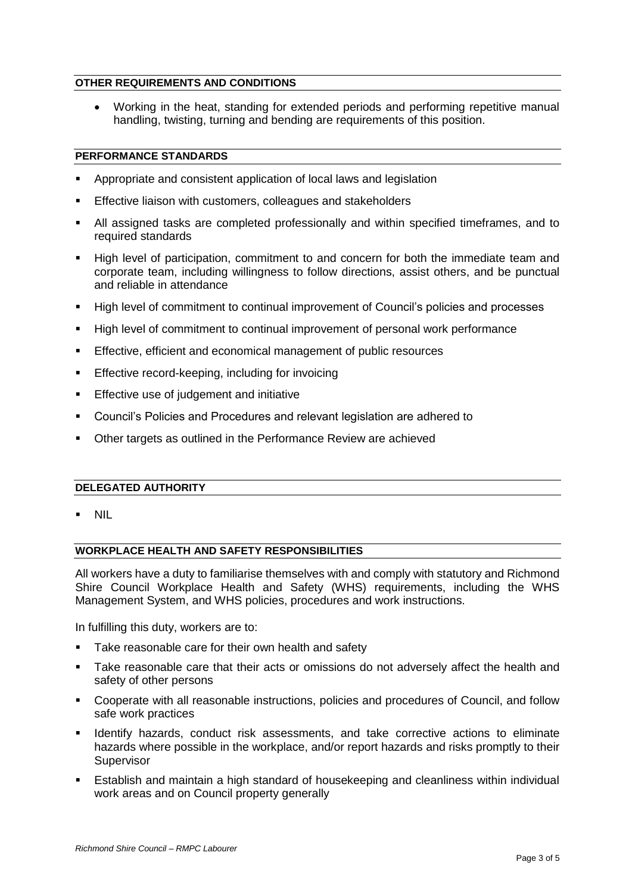# **OTHER REQUIREMENTS AND CONDITIONS**

 Working in the heat, standing for extended periods and performing repetitive manual handling, twisting, turning and bending are requirements of this position.

### **PERFORMANCE STANDARDS**

- Appropriate and consistent application of local laws and legislation
- Effective liaison with customers, colleagues and stakeholders
- All assigned tasks are completed professionally and within specified timeframes, and to required standards
- High level of participation, commitment to and concern for both the immediate team and corporate team, including willingness to follow directions, assist others, and be punctual and reliable in attendance
- High level of commitment to continual improvement of Council's policies and processes
- High level of commitment to continual improvement of personal work performance
- **Effective, efficient and economical management of public resources**
- **Effective record-keeping, including for invoicing**
- **Effective use of judgement and initiative**
- Council's Policies and Procedures and relevant legislation are adhered to
- Other targets as outlined in the Performance Review are achieved

### **DELEGATED AUTHORITY**

NIL

### **WORKPLACE HEALTH AND SAFETY RESPONSIBILITIES**

All workers have a duty to familiarise themselves with and comply with statutory and Richmond Shire Council Workplace Health and Safety (WHS) requirements, including the WHS Management System, and WHS policies, procedures and work instructions.

In fulfilling this duty, workers are to:

- Take reasonable care for their own health and safety
- Take reasonable care that their acts or omissions do not adversely affect the health and safety of other persons
- Cooperate with all reasonable instructions, policies and procedures of Council, and follow safe work practices
- Identify hazards, conduct risk assessments, and take corrective actions to eliminate hazards where possible in the workplace, and/or report hazards and risks promptly to their **Supervisor**
- Establish and maintain a high standard of housekeeping and cleanliness within individual work areas and on Council property generally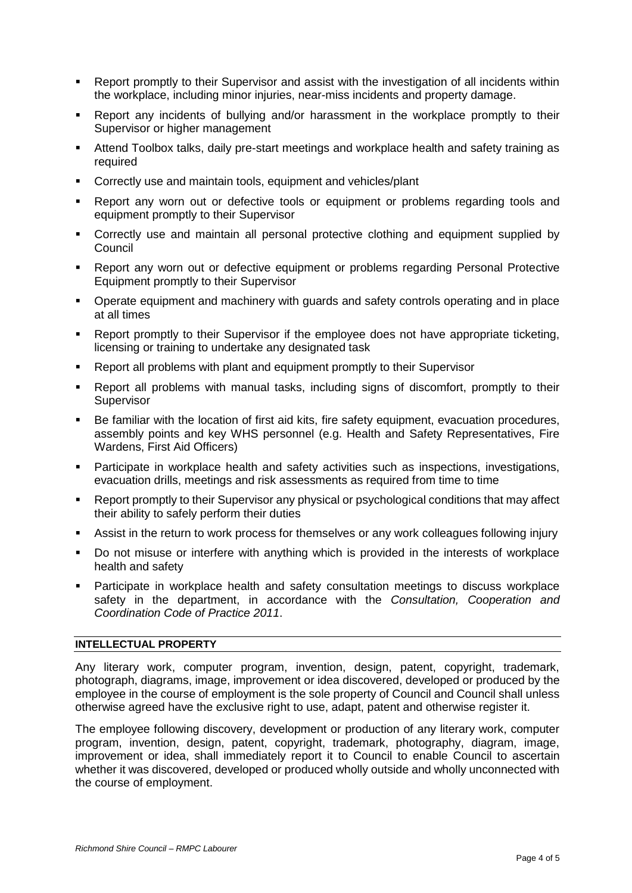- Report promptly to their Supervisor and assist with the investigation of all incidents within the workplace, including minor injuries, near-miss incidents and property damage.
- Report any incidents of bullying and/or harassment in the workplace promptly to their Supervisor or higher management
- Attend Toolbox talks, daily pre-start meetings and workplace health and safety training as required
- **Correctly use and maintain tools, equipment and vehicles/plant**
- Report any worn out or defective tools or equipment or problems regarding tools and equipment promptly to their Supervisor
- Correctly use and maintain all personal protective clothing and equipment supplied by Council
- Report any worn out or defective equipment or problems regarding Personal Protective Equipment promptly to their Supervisor
- Operate equipment and machinery with guards and safety controls operating and in place at all times
- Report promptly to their Supervisor if the employee does not have appropriate ticketing, licensing or training to undertake any designated task
- Report all problems with plant and equipment promptly to their Supervisor
- Report all problems with manual tasks, including signs of discomfort, promptly to their **Supervisor**
- Be familiar with the location of first aid kits, fire safety equipment, evacuation procedures, assembly points and key WHS personnel (e.g. Health and Safety Representatives, Fire Wardens, First Aid Officers)
- Participate in workplace health and safety activities such as inspections, investigations, evacuation drills, meetings and risk assessments as required from time to time
- Report promptly to their Supervisor any physical or psychological conditions that may affect their ability to safely perform their duties
- Assist in the return to work process for themselves or any work colleagues following injury
- Do not misuse or interfere with anything which is provided in the interests of workplace health and safety
- Participate in workplace health and safety consultation meetings to discuss workplace safety in the department, in accordance with the *Consultation, Cooperation and Coordination Code of Practice 2011*.

# **INTELLECTUAL PROPERTY**

Any literary work, computer program, invention, design, patent, copyright, trademark, photograph, diagrams, image, improvement or idea discovered, developed or produced by the employee in the course of employment is the sole property of Council and Council shall unless otherwise agreed have the exclusive right to use, adapt, patent and otherwise register it.

The employee following discovery, development or production of any literary work, computer program, invention, design, patent, copyright, trademark, photography, diagram, image, improvement or idea, shall immediately report it to Council to enable Council to ascertain whether it was discovered, developed or produced wholly outside and wholly unconnected with the course of employment.